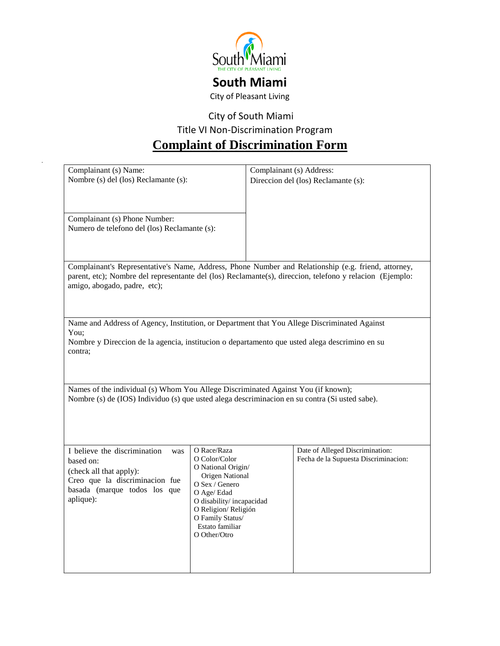

## **South Miami**

City of Pleasant Living

City of South Miami

Title VI Non-Discrimination Program

## **Complaint of Discrimination Form**

| Complainant (s) Name:<br>Nombre (s) del (los) Reclamante (s):                                                                                                                                                                                   |                                                                                                                                                                                                                  | Complainant (s) Address: | Direccion del (los) Reclamante (s):                                     |  |
|-------------------------------------------------------------------------------------------------------------------------------------------------------------------------------------------------------------------------------------------------|------------------------------------------------------------------------------------------------------------------------------------------------------------------------------------------------------------------|--------------------------|-------------------------------------------------------------------------|--|
| Complainant (s) Phone Number:<br>Numero de telefono del (los) Reclamante (s):                                                                                                                                                                   |                                                                                                                                                                                                                  |                          |                                                                         |  |
| Complainant's Representative's Name, Address, Phone Number and Relationship (e.g. friend, attorney,<br>parent, etc); Nombre del representante del (los) Reclamante(s), direccion, telefono y relacion (Ejemplo:<br>amigo, abogado, padre, etc); |                                                                                                                                                                                                                  |                          |                                                                         |  |
| Name and Address of Agency, Institution, or Department that You Allege Discriminated Against<br>You:<br>Nombre y Direccion de la agencia, institucion o departamento que usted alega descrimino en su<br>contra:                                |                                                                                                                                                                                                                  |                          |                                                                         |  |
| Names of the individual (s) Whom You Allege Discriminated Against You (if known);<br>Nombre (s) de (IOS) Individuo (s) que usted alega descriminacion en su contra (Si usted sabe).                                                             |                                                                                                                                                                                                                  |                          |                                                                         |  |
| I believe the discrimination<br>was<br>based on:<br>(check all that apply):<br>Creo que la discriminacion fue<br>basada (marque todos los que<br>aplique):                                                                                      | O Race/Raza<br>O Color/Color<br>O National Origin/<br>Origen National<br>O Sex / Genero<br>O Age/ Edad<br>O disability/incapacidad<br>O Religion/Religión<br>O Family Status/<br>Estato familiar<br>O Other/Otro |                          | Date of Alleged Discrimination:<br>Fecha de la Supuesta Discriminacion: |  |